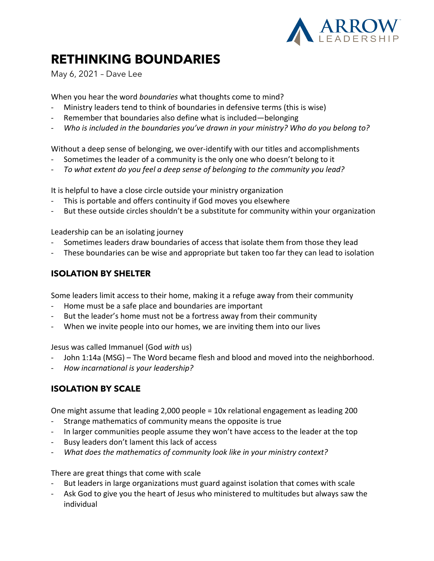

## **RETHINKING BOUNDARIES**

May 6, 2021 – Dave Lee

When you hear the word *boundaries* what thoughts come to mind?

- Ministry leaders tend to think of boundaries in defensive terms (this is wise)
- Remember that boundaries also define what is included—belonging
- *Who is included in the boundaries you've drawn in your ministry? Who do you belong to?*

Without a deep sense of belonging, we over-identify with our titles and accomplishments

- Sometimes the leader of a community is the only one who doesn't belong to it
- *To what extent do you feel a deep sense of belonging to the community you lead?*

It is helpful to have a close circle outside your ministry organization

- This is portable and offers continuity if God moves you elsewhere
- But these outside circles shouldn't be a substitute for community within your organization

Leadership can be an isolating journey

- Sometimes leaders draw boundaries of access that isolate them from those they lead
- These boundaries can be wise and appropriate but taken too far they can lead to isolation

## **ISOLATION BY SHELTER**

Some leaders limit access to their home, making it a refuge away from their community

- Home must be a safe place and boundaries are important
- But the leader's home must not be a fortress away from their community
- When we invite people into our homes, we are inviting them into our lives

Jesus was called Immanuel (God *with* us)

- John 1:14a (MSG) The Word became flesh and blood and moved into the neighborhood.
- *How incarnational is your leadership?*

## **ISOLATION BY SCALE**

One might assume that leading 2,000 people = 10x relational engagement as leading 200

- Strange mathematics of community means the opposite is true
- In larger communities people assume they won't have access to the leader at the top
- Busy leaders don't lament this lack of access
- *What does the mathematics of community look like in your ministry context?*

There are great things that come with scale

- But leaders in large organizations must guard against isolation that comes with scale
- Ask God to give you the heart of Jesus who ministered to multitudes but always saw the individual